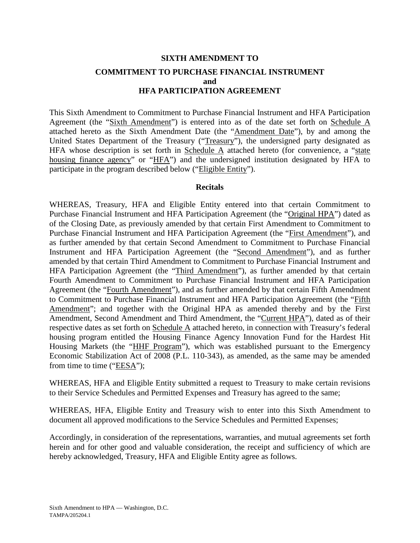# **SIXTH AMENDMENT TO COMMITMENT TO PURCHASE FINANCIAL INSTRUMENT and HFA PARTICIPATION AGREEMENT**

This Sixth Amendment to Commitment to Purchase Financial Instrument and HFA Participation Agreement (the "Sixth Amendment") is entered into as of the date set forth on Schedule A attached hereto as the Sixth Amendment Date (the "Amendment Date"), by and among the United States Department of the Treasury ("Treasury"), the undersigned party designated as HFA whose description is set forth in Schedule A attached hereto (for convenience, a "state housing finance agency" or "HFA") and the undersigned institution designated by HFA to participate in the program described below ("Eligible Entity").

### **Recitals**

WHEREAS, Treasury, HFA and Eligible Entity entered into that certain Commitment to Purchase Financial Instrument and HFA Participation Agreement (the "Original HPA") dated as of the Closing Date, as previously amended by that certain First Amendment to Commitment to Purchase Financial Instrument and HFA Participation Agreement (the "First Amendment"), and as further amended by that certain Second Amendment to Commitment to Purchase Financial Instrument and HFA Participation Agreement (the "Second Amendment"), and as further amended by that certain Third Amendment to Commitment to Purchase Financial Instrument and HFA Participation Agreement (the "Third Amendment"), as further amended by that certain Fourth Amendment to Commitment to Purchase Financial Instrument and HFA Participation Agreement (the "Fourth Amendment"), and as further amended by that certain Fifth Amendment to Commitment to Purchase Financial Instrument and HFA Participation Agreement (the "Fifth Amendment"; and together with the Original HPA as amended thereby and by the First Amendment, Second Amendment and Third Amendment, the "Current HPA"), dated as of their respective dates as set forth on Schedule A attached hereto, in connection with Treasury's federal housing program entitled the Housing Finance Agency Innovation Fund for the Hardest Hit Housing Markets (the "HHF Program"), which was established pursuant to the Emergency Economic Stabilization Act of 2008 (P.L. 110-343), as amended, as the same may be amended from time to time (" $EESA$ ");

WHEREAS, HFA and Eligible Entity submitted a request to Treasury to make certain revisions to their Service Schedules and Permitted Expenses and Treasury has agreed to the same;

WHEREAS, HFA, Eligible Entity and Treasury wish to enter into this Sixth Amendment to document all approved modifications to the Service Schedules and Permitted Expenses;

Accordingly, in consideration of the representations, warranties, and mutual agreements set forth herein and for other good and valuable consideration, the receipt and sufficiency of which are hereby acknowledged, Treasury, HFA and Eligible Entity agree as follows.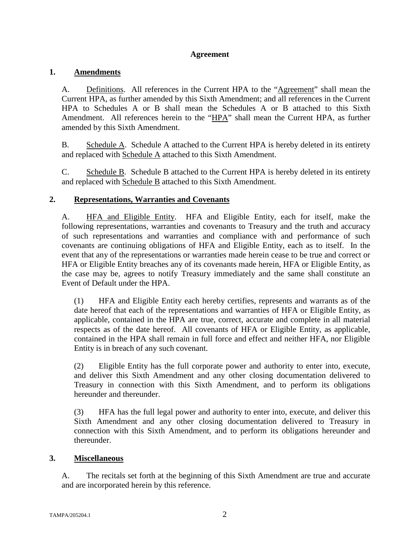# **Agreement**

# **1. Amendments**

A. Definitions. All references in the Current HPA to the "Agreement" shall mean the Current HPA, as further amended by this Sixth Amendment; and all references in the Current HPA to Schedules A or B shall mean the Schedules A or B attached to this Sixth Amendment. All references herein to the "HPA" shall mean the Current HPA, as further amended by this Sixth Amendment.

B. Schedule A. Schedule A attached to the Current HPA is hereby deleted in its entirety and replaced with Schedule A attached to this Sixth Amendment.

C. Schedule B. Schedule B attached to the Current HPA is hereby deleted in its entirety and replaced with Schedule B attached to this Sixth Amendment.

# **2. Representations, Warranties and Covenants**

A. HFA and Eligible Entity. HFA and Eligible Entity, each for itself, make the following representations, warranties and covenants to Treasury and the truth and accuracy of such representations and warranties and compliance with and performance of such covenants are continuing obligations of HFA and Eligible Entity, each as to itself. In the event that any of the representations or warranties made herein cease to be true and correct or HFA or Eligible Entity breaches any of its covenants made herein, HFA or Eligible Entity, as the case may be, agrees to notify Treasury immediately and the same shall constitute an Event of Default under the HPA.

(1) HFA and Eligible Entity each hereby certifies, represents and warrants as of the date hereof that each of the representations and warranties of HFA or Eligible Entity, as applicable, contained in the HPA are true, correct, accurate and complete in all material respects as of the date hereof. All covenants of HFA or Eligible Entity, as applicable, contained in the HPA shall remain in full force and effect and neither HFA, nor Eligible Entity is in breach of any such covenant.

(2) Eligible Entity has the full corporate power and authority to enter into, execute, and deliver this Sixth Amendment and any other closing documentation delivered to Treasury in connection with this Sixth Amendment, and to perform its obligations hereunder and thereunder.

(3) HFA has the full legal power and authority to enter into, execute, and deliver this Sixth Amendment and any other closing documentation delivered to Treasury in connection with this Sixth Amendment, and to perform its obligations hereunder and thereunder.

# **3. Miscellaneous**

A. The recitals set forth at the beginning of this Sixth Amendment are true and accurate and are incorporated herein by this reference.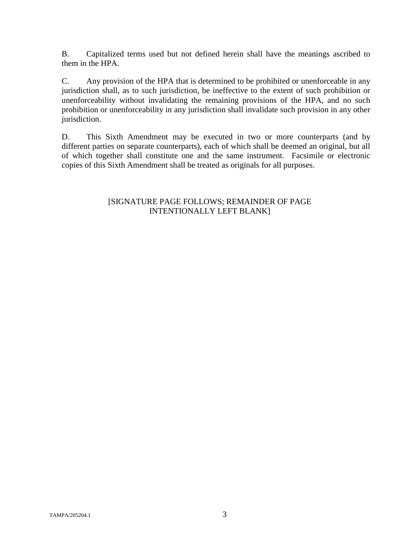B. Capitalized terms used but not defined herein shall have the meanings ascribed to them in the HPA.

C. Any provision of the HPA that is determined to be prohibited or unenforceable in any jurisdiction shall, as to such jurisdiction, be ineffective to the extent of such prohibition or unenforceability without invalidating the remaining provisions of the HPA, and no such prohibition or unenforceability in any jurisdiction shall invalidate such provision in any other jurisdiction.

D. This Sixth Amendment may be executed in two or more counterparts (and by different parties on separate counterparts), each of which shall be deemed an original, but all of which together shall constitute one and the same instrument. Facsimile or electronic copies of this Sixth Amendment shall be treated as originals for all purposes.

# [SIGNATURE PAGE FOLLOWS; REMAINDER OF PAGE INTENTIONALLY LEFT BLANK]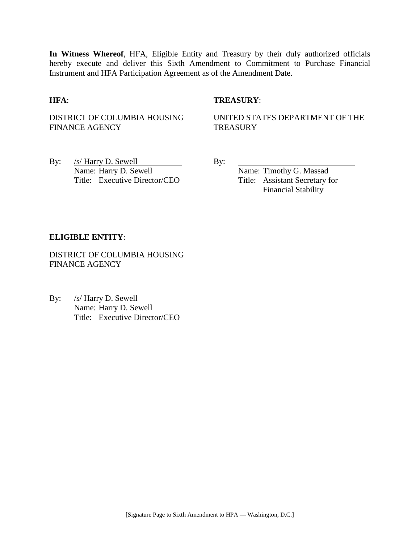**In Witness Whereof**, HFA, Eligible Entity and Treasury by their duly authorized officials hereby execute and deliver this Sixth Amendment to Commitment to Purchase Financial Instrument and HFA Participation Agreement as of the Amendment Date.

### **HFA**: **TREASURY**:

DISTRICT OF COLUMBIA HOUSING FINANCE AGENCY

UNITED STATES DEPARTMENT OF THE **TREASURY** 

By: <u>/s/ Harry D. Sewell</u> By: Name: Harry D. Sewell Name: Timothy G. Massad Title: Executive Director/CEO Title: Assistant Secretary for

Financial Stability

#### **ELIGIBLE ENTITY**:

DISTRICT OF COLUMBIA HOUSING FINANCE AGENCY

By: /s/ Harry D. Sewell Name: Harry D. Sewell Title: Executive Director/CEO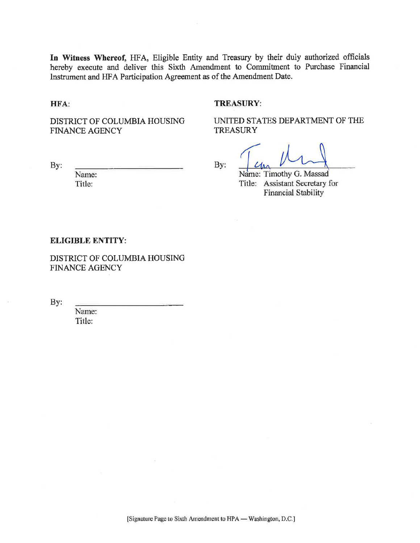In Witness Whereof, HFA, Eligible Entity and Treasury by their duly authorized officials hereby execute and deliver this Sixth Amendment to Commitment to Purchase Financial Instrument and HFA Participation Agreement as of the Amendment Date.

HFA:

By:

#### **TREASURY:**

DISTRICT OF COLUMBIA HOUSING **FINANCE AGENCY** 

UNITED STATES DEPARTMENT OF THE **TREASURY** 

By:

Name: Timothy G. Massad Title: Assistant Secretary for **Financial Stability** 

#### **ELIGIBLE ENTITY:**

Name:

Title:

DISTRICT OF COLUMBIA HOUSING **FINANCE AGENCY** 

By:

Name: Title: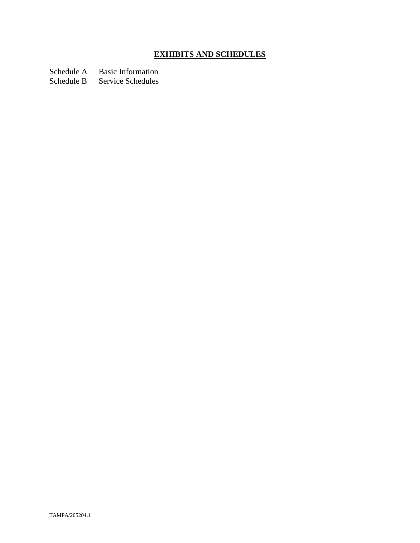# **EXHIBITS AND SCHEDULES**

Schedule A Basic Information<br>Schedule B Service Schedules

Service Schedules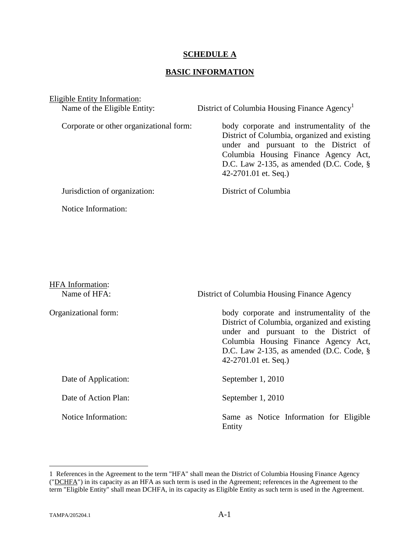### **SCHEDULE A**

## **BASIC INFORMATION**

Eligible Entity Information:

Name of the Eligible Entity: District of Columbia Housing Finance Agency<sup>[1](#page-6-0)</sup> Corporate or other organizational form: body corporate and instrumentality of the District of Columbia, organized and existing under and pursuant to the District of Columbia Housing Finance Agency Act, D.C. Law 2-135, as amended (D.C. Code, § 42-2701.01 et. Seq.) Jurisdiction of organization: District of Columbia Notice Information:

| <b>HFA</b> Information:<br>Name of HFA: | District of Columbia Housing Finance Agency                                                                                                                                                                                                       |
|-----------------------------------------|---------------------------------------------------------------------------------------------------------------------------------------------------------------------------------------------------------------------------------------------------|
| Organizational form:                    | body corporate and instrumentality of the<br>District of Columbia, organized and existing<br>under and pursuant to the District of<br>Columbia Housing Finance Agency Act,<br>D.C. Law 2-135, as amended (D.C. Code, $\S$<br>42-2701.01 et. Seq.) |
| Date of Application:                    | September 1, 2010                                                                                                                                                                                                                                 |
| Date of Action Plan:                    | September 1, 2010                                                                                                                                                                                                                                 |
| Notice Information:                     | Same as Notice Information for Eligible<br>Entity                                                                                                                                                                                                 |

<span id="page-6-0"></span><sup>1</sup> References in the Agreement to the term "HFA" shall mean the District of Columbia Housing Finance Agency ("DCHFA") in its capacity as an HFA as such term is used in the Agreement; references in the Agreement to the term "Eligible Entity" shall mean DCHFA, in its capacity as Eligible Entity as such term is used in the Agreement.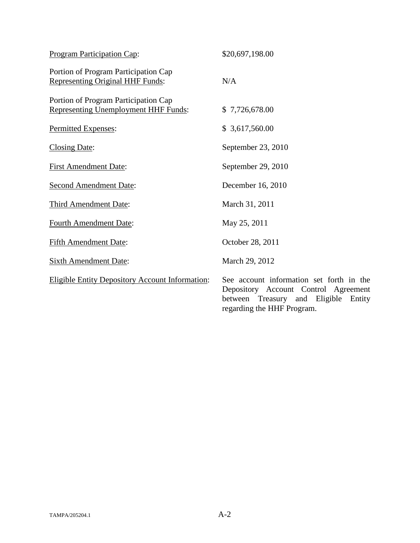| <b>Program Participation Cap:</b>                                                   | \$20,697,198.00                                                                                                                |
|-------------------------------------------------------------------------------------|--------------------------------------------------------------------------------------------------------------------------------|
| Portion of Program Participation Cap<br><b>Representing Original HHF Funds:</b>     | N/A                                                                                                                            |
| Portion of Program Participation Cap<br><b>Representing Unemployment HHF Funds:</b> | \$7,726,678.00                                                                                                                 |
| Permitted Expenses:                                                                 | \$3,617,560.00                                                                                                                 |
| <b>Closing Date:</b>                                                                | September 23, 2010                                                                                                             |
| <b>First Amendment Date:</b>                                                        | September 29, 2010                                                                                                             |
| <b>Second Amendment Date:</b>                                                       | December 16, 2010                                                                                                              |
| <b>Third Amendment Date:</b>                                                        | March 31, 2011                                                                                                                 |
| <b>Fourth Amendment Date:</b>                                                       | May 25, 2011                                                                                                                   |
| <b>Fifth Amendment Date:</b>                                                        | October 28, 2011                                                                                                               |
| <b>Sixth Amendment Date:</b>                                                        | March 29, 2012                                                                                                                 |
| <b>Eligible Entity Depository Account Information:</b>                              | See account information set forth in the<br>Depository Account Control Agreement<br>and Eligible<br>between Treasury<br>Entity |

regarding the HHF Program.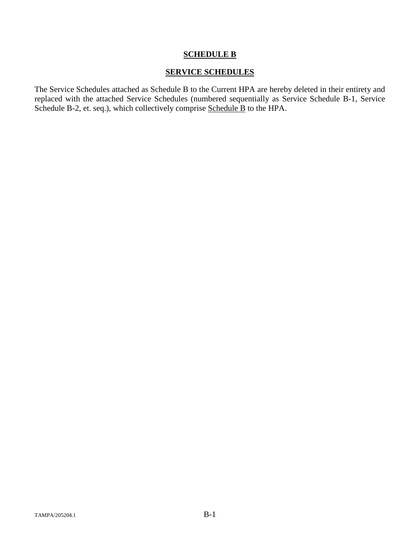# **SCHEDULE B**

# **SERVICE SCHEDULES**

The Service Schedules attached as Schedule B to the Current HPA are hereby deleted in their entirety and replaced with the attached Service Schedules (numbered sequentially as Service Schedule B-1, Service Schedule B-2, et. seq.), which collectively comprise Schedule B to the HPA.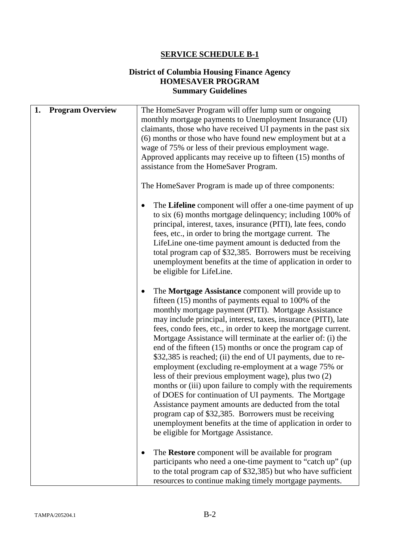# **SERVICE SCHEDULE B-1**

# **District of Columbia Housing Finance Agency HOMESAVER PROGRAM Summary Guidelines**

| 1. | <b>Program Overview</b> | The HomeSaver Program will offer lump sum or ongoing<br>monthly mortgage payments to Unemployment Insurance (UI)<br>claimants, those who have received UI payments in the past six<br>(6) months or those who have found new employment but at a<br>wage of 75% or less of their previous employment wage.<br>Approved applicants may receive up to fifteen (15) months of<br>assistance from the HomeSaver Program.<br>The HomeSaver Program is made up of three components:                                                                                                                                                                                                                                                                                                                                                                                                                                                                                              |
|----|-------------------------|----------------------------------------------------------------------------------------------------------------------------------------------------------------------------------------------------------------------------------------------------------------------------------------------------------------------------------------------------------------------------------------------------------------------------------------------------------------------------------------------------------------------------------------------------------------------------------------------------------------------------------------------------------------------------------------------------------------------------------------------------------------------------------------------------------------------------------------------------------------------------------------------------------------------------------------------------------------------------|
|    |                         | The Lifeline component will offer a one-time payment of up<br>to six (6) months mortgage delinquency; including 100% of<br>principal, interest, taxes, insurance (PITI), late fees, condo<br>fees, etc., in order to bring the mortgage current. The<br>LifeLine one-time payment amount is deducted from the<br>total program cap of \$32,385. Borrowers must be receiving<br>unemployment benefits at the time of application in order to<br>be eligible for LifeLine.                                                                                                                                                                                                                                                                                                                                                                                                                                                                                                   |
|    |                         | The Mortgage Assistance component will provide up to<br>fifteen (15) months of payments equal to 100% of the<br>monthly mortgage payment (PITI). Mortgage Assistance<br>may include principal, interest, taxes, insurance (PITI), late<br>fees, condo fees, etc., in order to keep the mortgage current.<br>Mortgage Assistance will terminate at the earlier of: (i) the<br>end of the fifteen (15) months or once the program cap of<br>\$32,385 is reached; (ii) the end of UI payments, due to re-<br>employment (excluding re-employment at a wage 75% or<br>less of their previous employment wage), plus two (2)<br>months or (iii) upon failure to comply with the requirements<br>of DOES for continuation of UI payments. The Mortgage<br>Assistance payment amounts are deducted from the total<br>program cap of \$32,385. Borrowers must be receiving<br>unemployment benefits at the time of application in order to<br>be eligible for Mortgage Assistance. |
|    |                         | The Restore component will be available for program<br>participants who need a one-time payment to "catch up" (up<br>to the total program cap of \$32,385) but who have sufficient<br>resources to continue making timely mortgage payments.                                                                                                                                                                                                                                                                                                                                                                                                                                                                                                                                                                                                                                                                                                                               |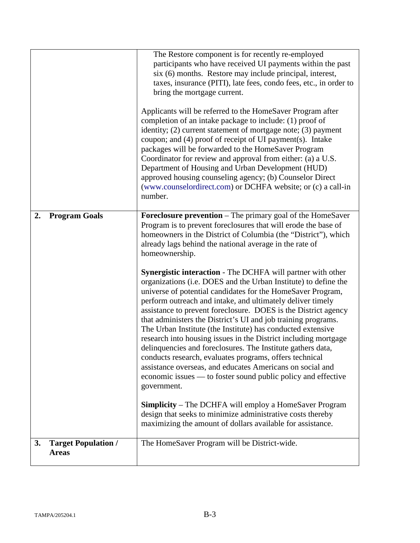|    |                                            | The Restore component is for recently re-employed<br>participants who have received UI payments within the past<br>six (6) months. Restore may include principal, interest,<br>taxes, insurance (PITI), late fees, condo fees, etc., in order to<br>bring the mortgage current.<br>Applicants will be referred to the HomeSaver Program after<br>completion of an intake package to include: (1) proof of<br>identity; (2) current statement of mortgage note; (3) payment<br>coupon; and (4) proof of receipt of UI payment(s). Intake<br>packages will be forwarded to the HomeSaver Program<br>Coordinator for review and approval from either: (a) a U.S.<br>Department of Housing and Urban Development (HUD)<br>approved housing counseling agency; (b) Counselor Direct<br>(www.counselordirect.com) or DCHFA website; or (c) a call-in<br>number.                                                                                                                                                                                                                                                                                                                                                                                                                                         |
|----|--------------------------------------------|---------------------------------------------------------------------------------------------------------------------------------------------------------------------------------------------------------------------------------------------------------------------------------------------------------------------------------------------------------------------------------------------------------------------------------------------------------------------------------------------------------------------------------------------------------------------------------------------------------------------------------------------------------------------------------------------------------------------------------------------------------------------------------------------------------------------------------------------------------------------------------------------------------------------------------------------------------------------------------------------------------------------------------------------------------------------------------------------------------------------------------------------------------------------------------------------------------------------------------------------------------------------------------------------------|
| 2. | <b>Program Goals</b>                       | <b>Foreclosure prevention</b> – The primary goal of the HomeSaver<br>Program is to prevent foreclosures that will erode the base of<br>homeowners in the District of Columbia (the "District"), which<br>already lags behind the national average in the rate of<br>homeownership.<br><b>Synergistic interaction</b> - The DCHFA will partner with other<br>organizations (i.e. DOES and the Urban Institute) to define the<br>universe of potential candidates for the HomeSaver Program,<br>perform outreach and intake, and ultimately deliver timely<br>assistance to prevent foreclosure. DOES is the District agency<br>that administers the District's UI and job training programs.<br>The Urban Institute (the Institute) has conducted extensive<br>research into housing issues in the District including mortgage<br>delinquencies and foreclosures. The Institute gathers data,<br>conducts research, evaluates programs, offers technical<br>assistance overseas, and educates Americans on social and<br>economic issues — to foster sound public policy and effective<br>government.<br><b>Simplicity</b> – The DCHFA will employ a HomeSaver Program<br>design that seeks to minimize administrative costs thereby<br>maximizing the amount of dollars available for assistance. |
| 3. | <b>Target Population /</b><br><b>Areas</b> | The HomeSaver Program will be District-wide.                                                                                                                                                                                                                                                                                                                                                                                                                                                                                                                                                                                                                                                                                                                                                                                                                                                                                                                                                                                                                                                                                                                                                                                                                                                      |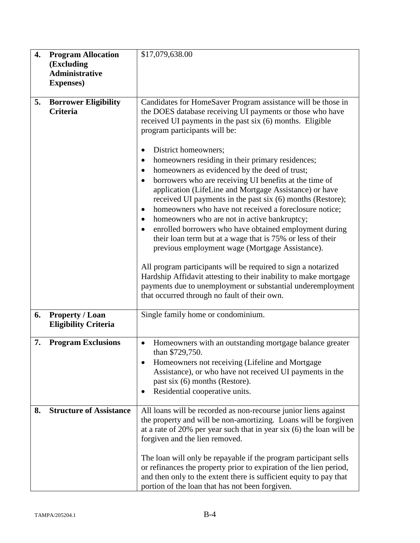| 4. | <b>Program Allocation</b><br>(Excluding<br><b>Administrative</b><br><b>Expenses</b> ) | \$17,079,638.00                                                                                                                                                                                                                                                                                                                                                                                                                                                                                                                                                                                                                                                                                                                                                                                                                                                                                                                                                                                                                                                                                                          |
|----|---------------------------------------------------------------------------------------|--------------------------------------------------------------------------------------------------------------------------------------------------------------------------------------------------------------------------------------------------------------------------------------------------------------------------------------------------------------------------------------------------------------------------------------------------------------------------------------------------------------------------------------------------------------------------------------------------------------------------------------------------------------------------------------------------------------------------------------------------------------------------------------------------------------------------------------------------------------------------------------------------------------------------------------------------------------------------------------------------------------------------------------------------------------------------------------------------------------------------|
| 5. | <b>Borrower Eligibility</b><br><b>Criteria</b>                                        | Candidates for HomeSaver Program assistance will be those in<br>the DOES database receiving UI payments or those who have<br>received UI payments in the past six (6) months. Eligible<br>program participants will be:<br>District homeowners;<br>٠<br>homeowners residing in their primary residences;<br>$\bullet$<br>homeowners as evidenced by the deed of trust;<br>٠<br>borrowers who are receiving UI benefits at the time of<br>application (LifeLine and Mortgage Assistance) or have<br>received UI payments in the past six (6) months (Restore);<br>homeowners who have not received a foreclosure notice;<br>٠<br>homeowners who are not in active bankruptcy;<br>$\bullet$<br>enrolled borrowers who have obtained employment during<br>their loan term but at a wage that is 75% or less of their<br>previous employment wage (Mortgage Assistance).<br>All program participants will be required to sign a notarized<br>Hardship Affidavit attesting to their inability to make mortgage<br>payments due to unemployment or substantial underemployment<br>that occurred through no fault of their own. |
| 6. | <b>Property / Loan</b><br><b>Eligibility Criteria</b>                                 | Single family home or condominium.                                                                                                                                                                                                                                                                                                                                                                                                                                                                                                                                                                                                                                                                                                                                                                                                                                                                                                                                                                                                                                                                                       |
| 7. | <b>Program Exclusions</b>                                                             | Homeowners with an outstanding mortgage balance greater<br>$\bullet$<br>than \$729,750.<br>Homeowners not receiving (Lifeline and Mortgage<br>Assistance), or who have not received UI payments in the<br>past six (6) months (Restore).<br>Residential cooperative units.<br>٠                                                                                                                                                                                                                                                                                                                                                                                                                                                                                                                                                                                                                                                                                                                                                                                                                                          |
| 8. | <b>Structure of Assistance</b>                                                        | All loans will be recorded as non-recourse junior liens against<br>the property and will be non-amortizing. Loans will be forgiven<br>at a rate of $20\%$ per year such that in year six (6) the loan will be<br>forgiven and the lien removed.<br>The loan will only be repayable if the program participant sells<br>or refinances the property prior to expiration of the lien period,<br>and then only to the extent there is sufficient equity to pay that<br>portion of the loan that has not been forgiven.                                                                                                                                                                                                                                                                                                                                                                                                                                                                                                                                                                                                       |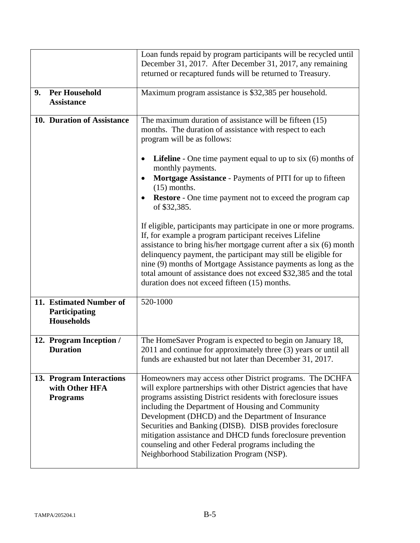|    |                                                               | Loan funds repaid by program participants will be recycled until<br>December 31, 2017. After December 31, 2017, any remaining<br>returned or recaptured funds will be returned to Treasury.                                                                                                                                                                                                                                                                                                                                             |
|----|---------------------------------------------------------------|-----------------------------------------------------------------------------------------------------------------------------------------------------------------------------------------------------------------------------------------------------------------------------------------------------------------------------------------------------------------------------------------------------------------------------------------------------------------------------------------------------------------------------------------|
| 9. | <b>Per Household</b><br><b>Assistance</b>                     | Maximum program assistance is \$32,385 per household.                                                                                                                                                                                                                                                                                                                                                                                                                                                                                   |
|    | 10. Duration of Assistance                                    | The maximum duration of assistance will be fifteen (15)<br>months. The duration of assistance with respect to each<br>program will be as follows:                                                                                                                                                                                                                                                                                                                                                                                       |
|    |                                                               | <b>Lifeline</b> - One time payment equal to up to six $(6)$ months of<br>monthly payments.<br>Mortgage Assistance - Payments of PITI for up to fifteen<br>$(15)$ months.<br><b>Restore</b> - One time payment not to exceed the program cap<br>of \$32,385.                                                                                                                                                                                                                                                                             |
|    |                                                               | If eligible, participants may participate in one or more programs.<br>If, for example a program participant receives Lifeline<br>assistance to bring his/her mortgage current after a six (6) month<br>delinquency payment, the participant may still be eligible for<br>nine (9) months of Mortgage Assistance payments as long as the<br>total amount of assistance does not exceed \$32,385 and the total<br>duration does not exceed fifteen (15) months.                                                                           |
|    | 11. Estimated Number of<br>Participating<br><b>Households</b> | 520-1000                                                                                                                                                                                                                                                                                                                                                                                                                                                                                                                                |
|    | 12. Program Inception /<br><b>Duration</b>                    | The HomeSaver Program is expected to begin on January 18,<br>2011 and continue for approximately three (3) years or until all<br>funds are exhausted but not later than December 31, 2017.                                                                                                                                                                                                                                                                                                                                              |
|    | 13. Program Interactions<br>with Other HFA<br><b>Programs</b> | Homeowners may access other District programs. The DCHFA<br>will explore partnerships with other District agencies that have<br>programs assisting District residents with foreclosure issues<br>including the Department of Housing and Community<br>Development (DHCD) and the Department of Insurance<br>Securities and Banking (DISB). DISB provides foreclosure<br>mitigation assistance and DHCD funds foreclosure prevention<br>counseling and other Federal programs including the<br>Neighborhood Stabilization Program (NSP). |